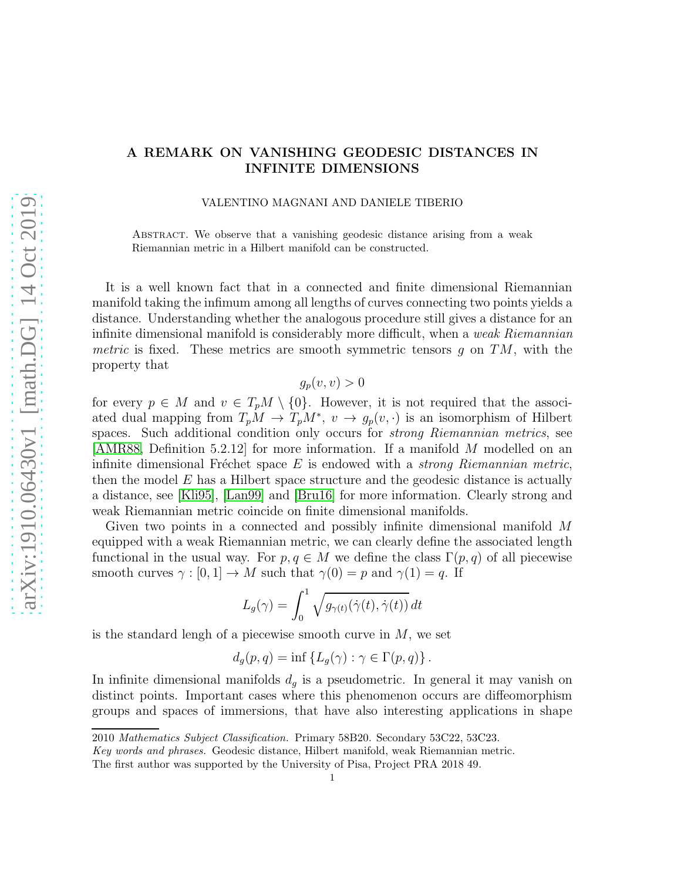## arXiv:1910.06430v1 [math.DG] 14 Oct 2019 [arXiv:1910.06430v1 \[math.DG\] 14 Oct 2019](http://arxiv.org/abs/1910.06430v1)

## A REMARK ON VANISHING GEODESIC DISTANCES IN INFINITE DIMENSIONS

VALENTINO MAGNANI AND DANIELE TIBERIO

Abstract. We observe that a vanishing geodesic distance arising from a weak Riemannian metric in a Hilbert manifold can be constructed.

It is a well known fact that in a connected and finite dimensional Riemannian manifold taking the infimum among all lengths of curves connecting two points yields a distance. Understanding whether the analogous procedure still gives a distance for an infinite dimensional manifold is considerably more difficult, when a weak Riemannian metric is fixed. These metrics are smooth symmetric tensors g on  $TM$ , with the property that

 $q_p(v, v) > 0$ 

for every  $p \in M$  and  $v \in T_pM \setminus \{0\}$ . However, it is not required that the associated dual mapping from  $T_pM \to T_pM^*$ ,  $v \to g_p(v, \cdot)$  is an isomorphism of Hilbert spaces. Such additional condition only occurs for *strong Riemannian metrics*, see [\[AMR88,](#page-2-0) Definition 5.2.12] for more information. If a manifold M modelled on an infinite dimensional Fréchet space  $E$  is endowed with a *strong Riemannian metric*, then the model  $E$  has a Hilbert space structure and the geodesic distance is actually a distance, see [\[Kli95\]](#page-3-0), [\[Lan99\]](#page-3-1) and [\[Bru16\]](#page-3-2) for more information. Clearly strong and weak Riemannian metric coincide on finite dimensional manifolds.

Given two points in a connected and possibly infinite dimensional manifold M equipped with a weak Riemannian metric, we can clearly define the associated length functional in the usual way. For  $p, q \in M$  we define the class  $\Gamma(p, q)$  of all piecewise smooth curves  $\gamma : [0, 1] \to M$  such that  $\gamma(0) = p$  and  $\gamma(1) = q$ . If

$$
L_g(\gamma) = \int_0^1 \sqrt{g_{\gamma(t)}(\dot{\gamma}(t), \dot{\gamma}(t))} dt
$$

is the standard lengh of a piecewise smooth curve in  $M$ , we set

$$
d_g(p,q) = \inf \{ L_g(\gamma) : \gamma \in \Gamma(p,q) \} .
$$

In infinite dimensional manifolds  $d_g$  is a pseudometric. In general it may vanish on distinct points. Important cases where this phenomenon occurs are diffeomorphism groups and spaces of immersions, that have also interesting applications in shape

<sup>2010</sup> Mathematics Subject Classification. Primary 58B20. Secondary 53C22, 53C23.

Key words and phrases. Geodesic distance, Hilbert manifold, weak Riemannian metric.

The first author was supported by the University of Pisa, Project PRA 2018 49.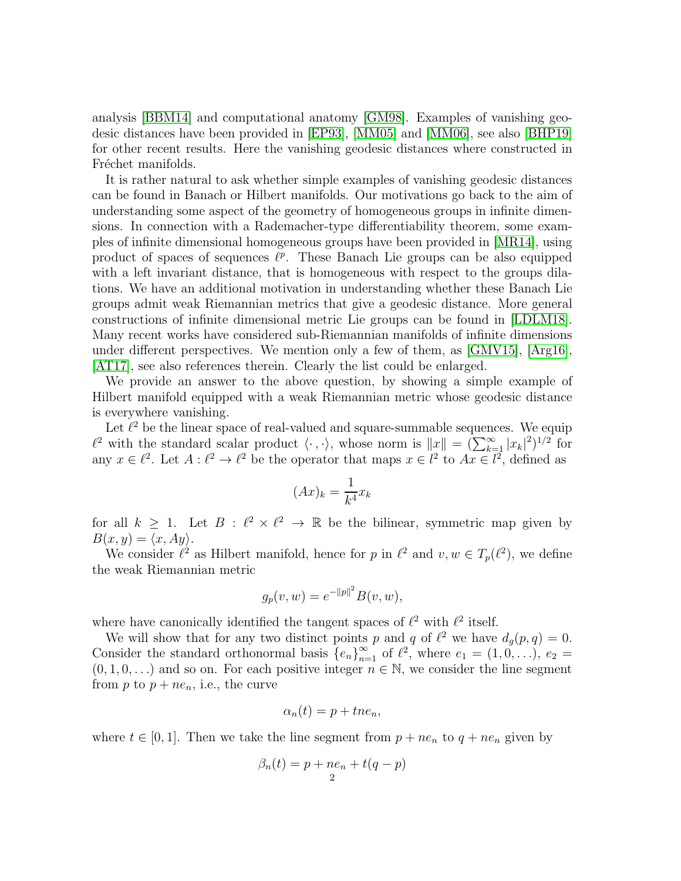analysis [\[BBM14\]](#page-2-1) and computational anatomy [\[GM98\]](#page-3-3). Examples of vanishing geodesic distances have been provided in [\[EP93\]](#page-3-4), [\[MM05\]](#page-3-5) and [\[MM06\]](#page-3-6), see also [\[BHP19\]](#page-3-7) for other recent results. Here the vanishing geodesic distances where constructed in Fréchet manifolds.

It is rather natural to ask whether simple examples of vanishing geodesic distances can be found in Banach or Hilbert manifolds. Our motivations go back to the aim of understanding some aspect of the geometry of homogeneous groups in infinite dimensions. In connection with a Rademacher-type differentiability theorem, some examples of infinite dimensional homogeneous groups have been provided in [\[MR14\]](#page-3-8), using product of spaces of sequences  $\ell^p$ . These Banach Lie groups can be also equipped with a left invariant distance, that is homogeneous with respect to the groups dilations. We have an additional motivation in understanding whether these Banach Lie groups admit weak Riemannian metrics that give a geodesic distance. More general constructions of infinite dimensional metric Lie groups can be found in [\[LDLM18\]](#page-3-9). Many recent works have considered sub-Riemannian manifolds of infinite dimensions under different perspectives. We mention only a few of them, as [\[GMV15\]](#page-3-10), [\[Arg16\]](#page-2-2), [\[AT17\]](#page-2-3), see also references therein. Clearly the list could be enlarged.

We provide an answer to the above question, by showing a simple example of Hilbert manifold equipped with a weak Riemannian metric whose geodesic distance is everywhere vanishing.

Let  $\ell^2$  be the linear space of real-valued and square-summable sequences. We equip  $\ell^2$  with the standard scalar product  $\langle \cdot, \cdot \rangle$ , whose norm is  $||x|| = (\sum_{k=1}^{\infty} |x_k|^2)^{1/2}$  for any  $x \in \ell^2$ . Let  $A: \ell^2 \to \ell^2$  be the operator that maps  $x \in \ell^2$  to  $Ax \in \ell^2$ , defined as

$$
(Ax)_k = \frac{1}{k^4}x_k
$$

for all  $k \geq 1$ . Let  $B : \ell^2 \times \ell^2 \to \mathbb{R}$  be the bilinear, symmetric map given by  $B(x, y) = \langle x, Ay \rangle.$ 

We consider  $\ell^2$  as Hilbert manifold, hence for p in  $\ell^2$  and  $v, w \in T_p(\ell^2)$ , we define the weak Riemannian metric

$$
g_p(v, w) = e^{-\|p\|^2} B(v, w),
$$

where have canonically identified the tangent spaces of  $\ell^2$  with  $\ell^2$  itself.

We will show that for any two distinct points p and q of  $\ell^2$  we have  $d_g(p,q) = 0$ . Consider the standard orthonormal basis  ${e_n}_{n=1}^{\infty}$  of  $\ell^2$ , where  $e_1 = (1, 0, \ldots), e_2 =$  $(0, 1, 0, ...)$  and so on. For each positive integer  $n \in \mathbb{N}$ , we consider the line segment from p to  $p + ne_n$ , i.e., the curve

$$
\alpha_n(t) = p + t n e_n,
$$

where  $t \in [0, 1]$ . Then we take the line segment from  $p + ne_n$  to  $q + ne_n$  given by

$$
\beta_n(t) = p + ne_n + t(q - p)
$$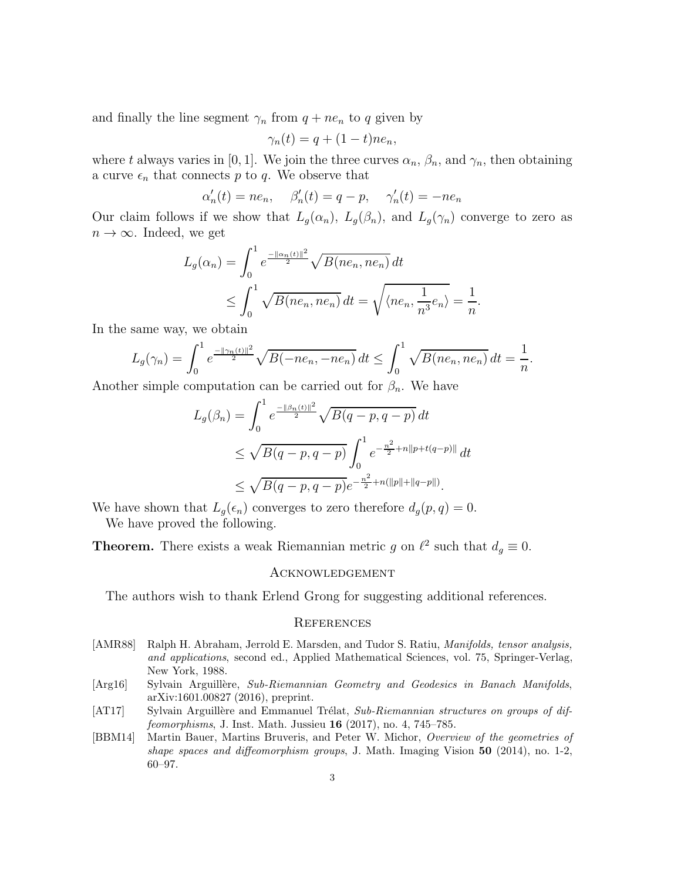and finally the line segment  $\gamma_n$  from  $q + ne_n$  to q given by

$$
\gamma_n(t) = q + (1 - t) n e_n,
$$

where t always varies in [0, 1]. We join the three curves  $\alpha_n$ ,  $\beta_n$ , and  $\gamma_n$ , then obtaining a curve  $\epsilon_n$  that connects  $p$  to  $q.$  We observe that

$$
\alpha'_n(t) = ne_n, \quad \beta'_n(t) = q - p, \quad \gamma'_n(t) = -ne_n
$$

Our claim follows if we show that  $L_g(\alpha_n)$ ,  $L_g(\beta_n)$ , and  $L_g(\gamma_n)$  converge to zero as  $n \to \infty$ . Indeed, we get

$$
L_g(\alpha_n) = \int_0^1 e^{\frac{-\|\alpha_n(t)\|^2}{2}} \sqrt{B(ne_n, ne_n)} dt
$$
  
 
$$
\leq \int_0^1 \sqrt{B(ne_n, ne_n)} dt = \sqrt{\langle ne_n, \frac{1}{n^3}e_n \rangle} = \frac{1}{n}.
$$

In the same way, we obtain

$$
L_g(\gamma_n) = \int_0^1 e^{\frac{-\|\gamma_n(t)\|^2}{2}} \sqrt{B(-ne_n, -ne_n)} dt \le \int_0^1 \sqrt{B(ne_n, ne_n)} dt = \frac{1}{n}.
$$

Another simple computation can be carried out for  $\beta_n$ . We have

$$
L_g(\beta_n) = \int_0^1 e^{\frac{-\|\beta_n(t)\|^2}{2}} \sqrt{B(q-p, q-p)} dt
$$
  
 
$$
\leq \sqrt{B(q-p, q-p)} \int_0^1 e^{-\frac{n^2}{2} + n\|p+t(q-p)\|} dt
$$
  
 
$$
\leq \sqrt{B(q-p, q-p)} e^{-\frac{n^2}{2} + n(\|p\| + \|q-p\|)}.
$$

We have shown that  $L_q(\epsilon_n)$  converges to zero therefore  $d_q(p,q) = 0$ . We have proved the following.

**Theorem.** There exists a weak Riemannian metric g on  $\ell^2$  such that  $d_g \equiv 0$ .

## Acknowledgement

The authors wish to thank Erlend Grong for suggesting additional references.

## **REFERENCES**

- <span id="page-2-0"></span>[AMR88] Ralph H. Abraham, Jerrold E. Marsden, and Tudor S. Ratiu, *Manifolds, tensor analysis,* and applications, second ed., Applied Mathematical Sciences, vol. 75, Springer-Verlag, New York, 1988.
- <span id="page-2-2"></span>[Arg16] Sylvain Arguillère, Sub-Riemannian Geometry and Geodesics in Banach Manifolds, arXiv:1601.00827 (2016), preprint.
- <span id="page-2-3"></span>[AT17] Sylvain Arguillère and Emmanuel Trélat, Sub-Riemannian structures on groups of diffeomorphisms, J. Inst. Math. Jussieu 16 (2017), no. 4, 745–785.
- <span id="page-2-1"></span>[BBM14] Martin Bauer, Martins Bruveris, and Peter W. Michor, Overview of the geometries of shape spaces and diffeomorphism groups, J. Math. Imaging Vision  $50$  (2014), no. 1-2, 60–97.